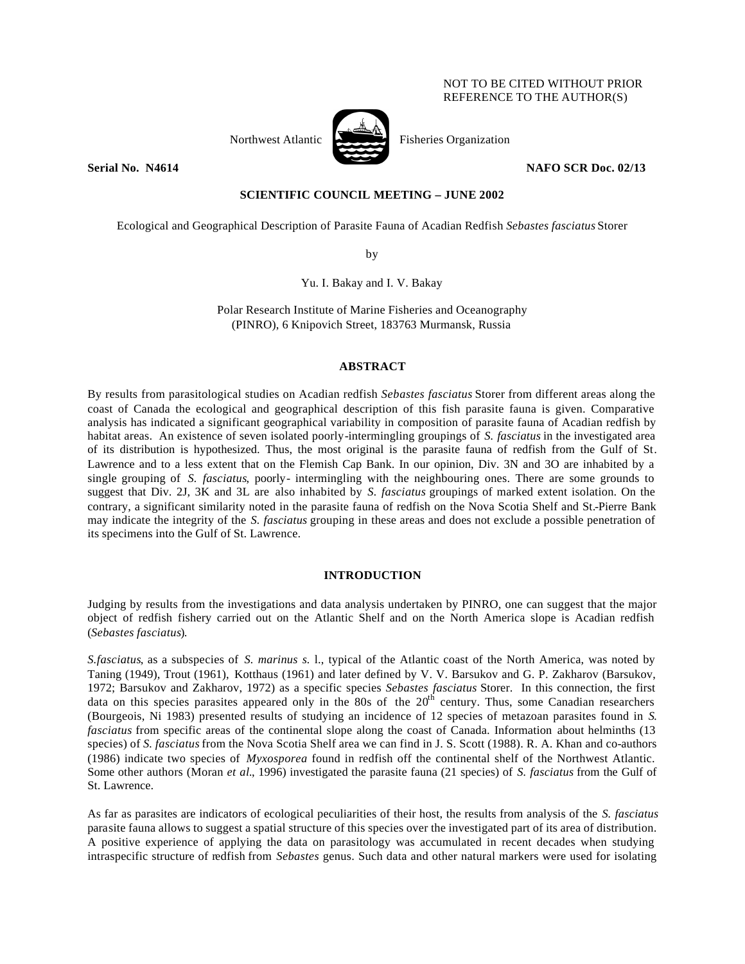# NOT TO BE CITED WITHOUT PRIOR REFERENCE TO THE AUTHOR(S)



Northwest Atlantic Fisheries Organization

**Serial No. 14614 NAFO SCR Doc. 02/13** 

# **SCIENTIFIC COUNCIL MEETING – JUNE 2002**

Ecological and Geographical Description of Parasite Fauna of Acadian Redfish *Sebastes fasciatus* Storer

by

Yu. I. Bakay and I. V. Bakay

Polar Research Institute of Marine Fisheries and Oceanography (PINRO), 6 Knipovich Street, 183763 Murmansk, Russia

#### **ABSTRACT**

By results from parasitological studies on Acadian redfish *Sebastes fasciatus* Storer from different areas along the coast of Canada the ecological and geographical description of this fish parasite fauna is given. Comparative analysis has indicated a significant geographical variability in composition of parasite fauna of Acadian redfish by habitat areas. An existence of seven isolated poorly-intermingling groupings of *S. fasciatus* in the investigated area of its distribution is hypothesized. Thus, the most original is the parasite fauna of redfish from the Gulf of St. Lawrence and to a less extent that on the Flemish Cap Bank. In our opinion, Div. 3N and 3O are inhabited by a single grouping of *S. fasciatus*, poorly- intermingling with the neighbouring ones. There are some grounds to suggest that Div. 2J, 3K and 3L are also inhabited by *S. fasciatus* groupings of marked extent isolation. On the contrary, a significant similarity noted in the parasite fauna of redfish on the Nova Scotia Shelf and St.-Pierre Bank may indicate the integrity of the *S. fasciatus* grouping in these areas and does not exclude a possible penetration of its specimens into the Gulf of St. Lawrence.

### **INTRODUCTION**

Judging by results from the investigations and data analysis undertaken by PINRO, one can suggest that the major object of redfish fishery carried out on the Atlantic Shelf and on the North America slope is Acadian redfish (*Sebastes fasciatus*).

*S.fasciatus*, as a subspecies of *S. marinus s.* l., typical of the Atlantic coast of the North America, was noted by Taning (1949), Trout (1961), Kotthaus (1961) and later defined by V. V. Barsukov and G. P. Zakharov (Barsukov, 1972; Barsukov and Zakharov, 1972) as a specific species *Sebastes fasciatus* Storer. In this connection, the first data on this species parasites appeared only in the 80s of the  $20<sup>th</sup>$  century. Thus, some Canadian researchers (Bourgeois, Ni 1983) presented results of studying an incidence of 12 species of metazoan parasites found in *S. fasciatus* from specific areas of the continental slope along the coast of Canada. Information about helminths (13 species) of *S. fasciatus* from the Nova Scotia Shelf area we can find in J. S. Scott (1988). R. A. Khan and co-authors (1986) indicate two species of *Myxosporea* found in redfish off the continental shelf of the Northwest Atlantic. Some other authors (Moran *et al.*, 1996) investigated the parasite fauna (21 species) of *S. fasciatus* from the Gulf of St. Lawrence.

As far as parasites are indicators of ecological peculiarities of their host, the results from analysis of the *S. fasciatus* parasite fauna allows to suggest a spatial structure of this species over the investigated part of its area of distribution. A positive experience of applying the data on parasitology was accumulated in recent decades when studying intraspecific structure of redfish from *Sebastes* genus. Such data and other natural markers were used for isolating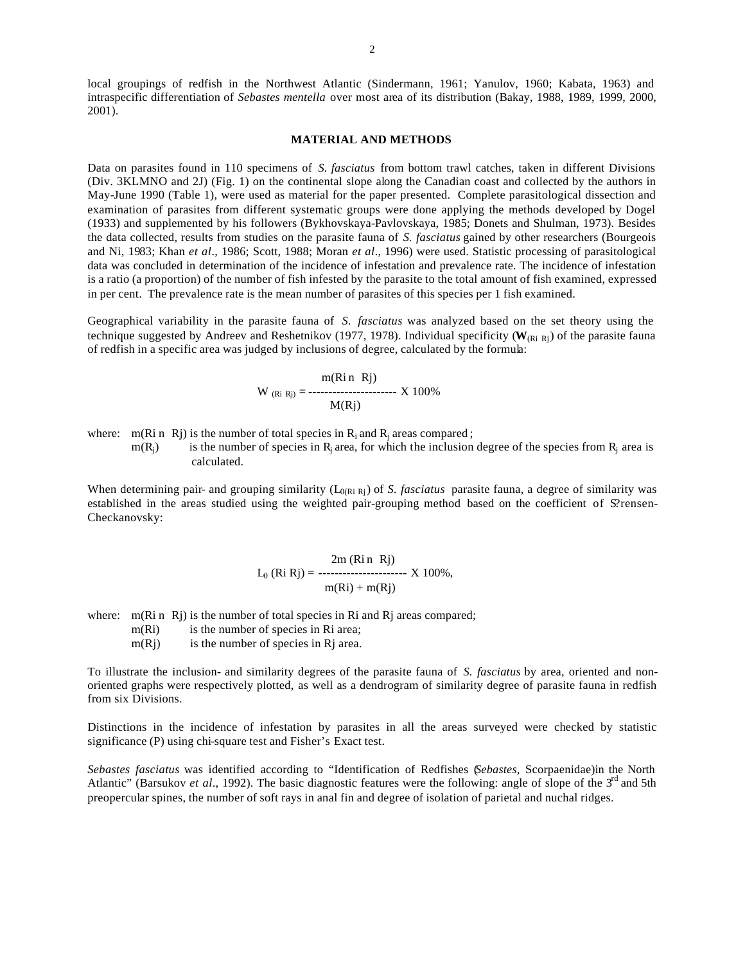local groupings of redfish in the Northwest Atlantic (Sindermann, 1961; Yanulov, 1960; Kabata, 1963) and intraspecific differentiation of *Sebastes mentella* over most area of its distribution (Bakay, 1988, 1989, 1999, 2000, 2001).

#### **MATERIAL AND METHODS**

Data on parasites found in 110 specimens of *S. fasciatus* from bottom trawl catches, taken in different Divisions (Div. 3KLMNO and 2J) (Fig. 1) on the continental slope along the Canadian coast and collected by the authors in May-June 1990 (Table 1), were used as material for the paper presented. Complete parasitological dissection and examination of parasites from different systematic groups were done applying the methods developed by Dogel (1933) and supplemented by his followers (Bykhovskaya-Pavlovskaya, 1985; Donets and Shulman, 1973). Besides the data collected, results from studies on the parasite fauna of *S. fasciatus* gained by other researchers (Bourgeois and Ni, 1983; Khan *et al*., 1986; Scott, 1988; Moran *et al*., 1996) were used. Statistic processing of parasitological data was concluded in determination of the incidence of infestation and prevalence rate. The incidence of infestation is a ratio (a proportion) of the number of fish infested by the parasite to the total amount of fish examined, expressed in per cent. The prevalence rate is the mean number of parasites of this species per 1 fish examined.

Geographical variability in the parasite fauna of *S. fasciatus* was analyzed based on the set theory using the technique suggested by Andreev and Reshetnikov (1977, 1978). Individual specificity ( $W_{(Ri\ Rj)}$ ) of the parasite fauna of redfish in a specific area was judged by inclusions of degree, calculated by the formula:

$$
W_{(Ri Rj)} = \frac{m(Ri n Rj)}{M(Rj)}
$$
 X 100%

where:  $m(Ri n Rj)$  is the number of total species in  $R_i$  and  $R_j$  areas compared;

 $m(R<sub>i</sub>)$  is the number of species in R<sub>j</sub> area, for which the inclusion degree of the species from R<sub>j</sub> area is calculated.

When determining pair- and grouping similarity ( $L_{0(Ri Ri)}$ ) of *S. fasciatus* parasite fauna, a degree of similarity was established in the areas studied using the weighted pair-grouping method based on the coefficient of S?rensen-Checkanovsky:

$$
L_0 (Ri Rj) = \frac{2m (Ri n Rj)}{m(Ri) + m(Rj)} \times 100\%,
$$

where: m(Ri n Rj) is the number of total species in Ri and Rj areas compared;

m(Ri) is the number of species in Ri area;

 $m(Rj)$  is the number of species in Rj area.

To illustrate the inclusion- and similarity degrees of the parasite fauna of *S. fasciatus* by area, oriented and nonoriented graphs were respectively plotted, as well as a dendrogram of similarity degree of parasite fauna in redfish from six Divisions.

Distinctions in the incidence of infestation by parasites in all the areas surveyed were checked by statistic significance (P) using chi-square test and Fisher's Exact test.

*Sebastes fasciatus* was identified according to "Identification of Redfishes (*Sebastes,* Scorpaenidae)in the North Atlantic" (Barsukov *et al.*, 1992). The basic diagnostic features were the following: angle of slope of the 3<sup>rd</sup> and 5th preopercular spines, the number of soft rays in anal fin and degree of isolation of parietal and nuchal ridges.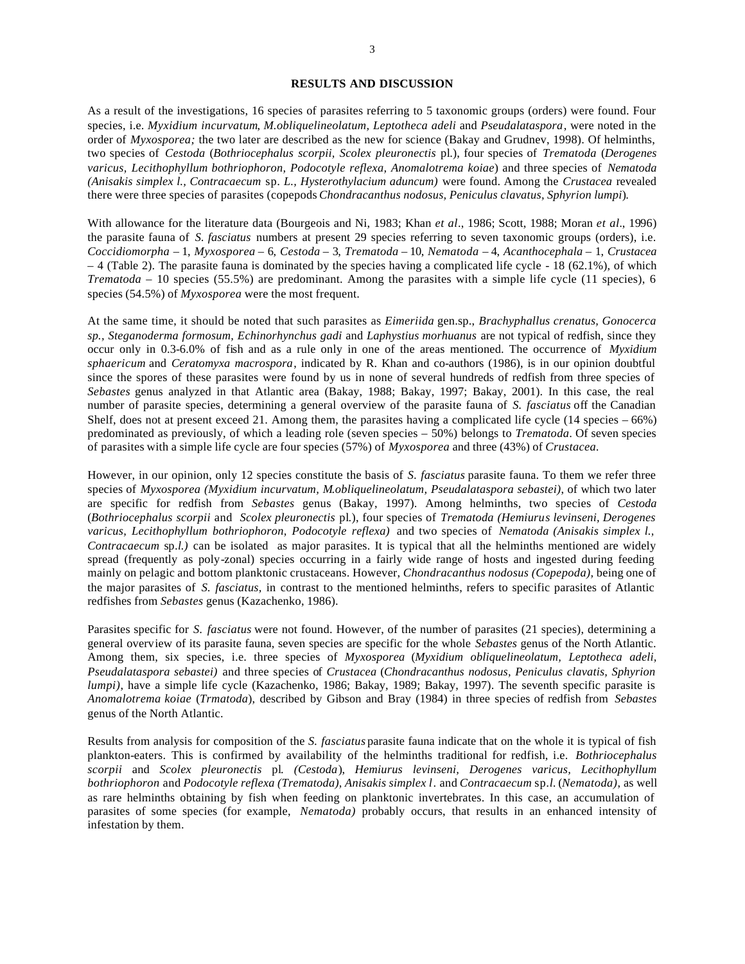#### **RESULTS AND DISCUSSION**

As a result of the investigations, 16 species of parasites referring to 5 taxonomic groups (orders) were found. Four species, i.e. *Myxidium incurvatum*, *M.obliquelineolatum, Leptotheca adeli* and *Pseudalataspora*, were noted in the order of *Myxosporea;* the two later are described as the new for science (Bakay and Grudnev, 1998). Of helminths, two species of *Cestoda* (*Bothriocephalus scorpii, Scolex pleuronectis* pl.), four species of *Trematoda* (*Derogenes varicus, Lecithophyllum bothriophoron, Podocotyle reflexa, Anomalotrema koiae*) and three species of *Nematoda (Anisakis simplex l., Contracaecum* sp*. L., Hysterothylacium aduncum)* were found. Among the *Crustacea* revealed there were three species of parasites (copepods *Chondracanthus nodosus, Peniculus clavatus, Sphyrion lumpi*).

With allowance for the literature data (Bourgeois and Ni, 1983; Khan *et al*., 1986; Scott, 1988; Moran *et al.*, 1996) the parasite fauna of *S. fasciatus* numbers at present 29 species referring to seven taxonomic groups (orders), i.e. *Coccidiomorpha* – 1, *Myxosporea* – 6, *Cestoda* – 3, *Trematoda* – 10, *Nematoda* – 4, *Acanthocephala* – 1, *Crustacea*  – 4 (Table 2). The parasite fauna is dominated by the species having a complicated life cycle - 18 (62.1%), of which *Trematoda* – 10 species (55.5%) are predominant. Among the parasites with a simple life cycle (11 species), 6 species (54.5%) of *Myxosporea* were the most frequent.

At the same time, it should be noted that such parasites as *Eimeriida* gen.sp., *Brachyphallus crenatus, Gonocerca sp., Steganoderma formosum, Echinorhynchus gadi* and *Laphystius morhuanus* are not typical of redfish, since they occur only in 0.3-6.0% of fish and as a rule only in one of the areas mentioned. The occurrence of *Myxidium sphaericum* and *Ceratomyxa macrospora*, indicated by R. Khan and co-authors (1986), is in our opinion doubtful since the spores of these parasites were found by us in none of several hundreds of redfish from three species of *Sebastes* genus analyzed in that Atlantic area (Bakay, 1988; Bakay, 1997; Bakay, 2001). In this case, the real number of parasite species, determining a general overview of the parasite fauna of *S. fasciatus* off the Canadian Shelf, does not at present exceed 21. Among them, the parasites having a complicated life cycle  $(14 \text{ species} - 66\%)$ predominated as previously, of which a leading role (seven species – 50%) belongs to *Trematoda*. Of seven species of parasites with a simple life cycle are four species (57%) of *Myxosporea* and three (43%) of *Crustacea.* 

However, in our opinion, only 12 species constitute the basis of *S. fasciatus* parasite fauna. To them we refer three species of *Myxosporea (Myxidium incurvatum, M.obliquelineolatum, Pseudalataspora sebastei)*, of which two later are specific for redfish from *Sebastes* genus (Bakay, 1997). Among helminths, two species of *Cestoda* (*Bothriocephalus scorpii* and *Scolex pleuronectis* pl.), four species of *Trematoda (Hemiurus levinseni, Derogenes varicus, Lecithophyllum bothriophoron, Podocotyle reflexa)* and two species of *Nematoda (Anisakis simplex l., Contracaecum* sp*.l.)* can be isolated as major parasites. It is typical that all the helminths mentioned are widely spread (frequently as poly-zonal) species occurring in a fairly wide range of hosts and ingested during feeding mainly on pelagic and bottom planktonic crustaceans. However, *Chondracanthus nodosus (Copepoda),* being one of the major parasites of *S. fasciatus,* in contrast to the mentioned helminths, refers to specific parasites of Atlantic redfishes from *Sebastes* genus (Kazachenko, 1986).

Parasites specific for *S. fasciatus* were not found. However, of the number of parasites (21 species), determining a general overview of its parasite fauna, seven species are specific for the whole *Sebastes* genus of the North Atlantic. Among them, six species, i.e. three species of *Myxosporea* (*Myxidium obliquelineolatum, Leptotheca adeli, Pseudalataspora sebastei)* and three species of *Crustacea* (*Chondracanthus nodosus, Peniculus clavatis, Sphyrion lumpi*), have a simple life cycle (Kazachenko, 1986; Bakay, 1989; Bakay, 1997). The seventh specific parasite is *Anomalotrema koiae* (*Trmatoda*), described by Gibson and Bray (1984) in three species of redfish from *Sebastes*  genus of the North Atlantic.

Results from analysis for composition of the *S. fasciatus* parasite fauna indicate that on the whole it is typical of fish plankton-eaters. This is confirmed by availability of the helminths traditional for redfish, i.e. *Bothriocephalus scorpii* and *Scolex pleuronectis* pl*. (Cestoda*), *Hemiurus levinseni, Derogenes varicus, Lecithophyllum bothriophoron* and *Podocotyle reflexa (Trematoda), Anisakis simplex l*. and *Contracaecum* sp*.l.* (*Nematoda)*, as well as rare helminths obtaining by fish when feeding on planktonic invertebrates. In this case, an accumulation of parasites of some species (for example, *Nematoda)* probably occurs, that results in an enhanced intensity of infestation by them.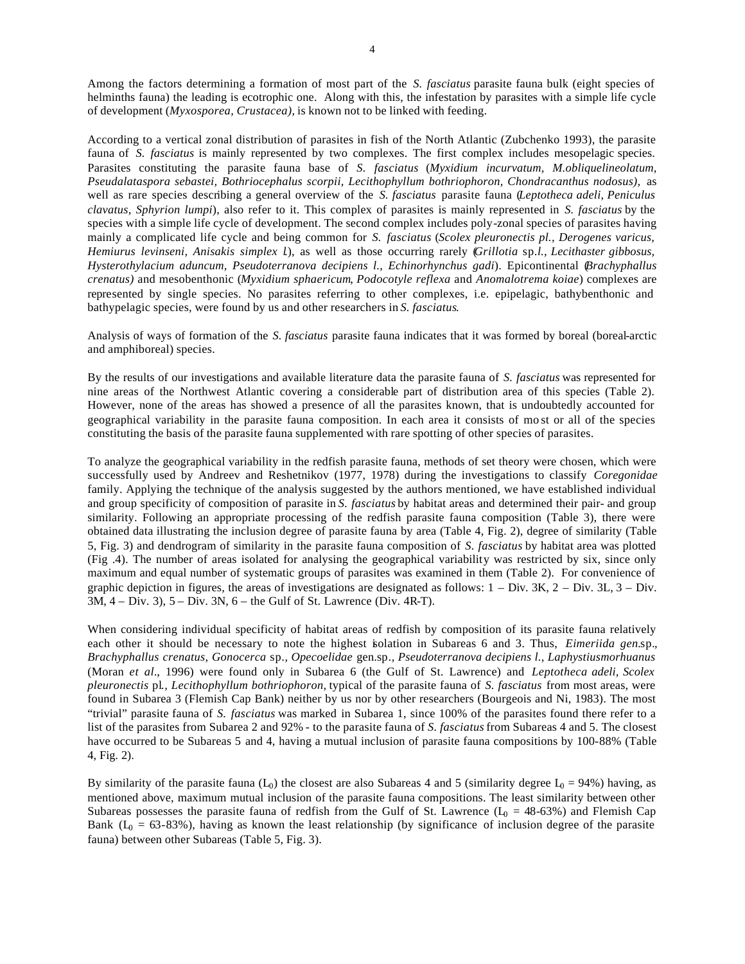Among the factors determining a formation of most part of the *S. fasciatus* parasite fauna bulk (eight species of helminths fauna) the leading is ecotrophic one. Along with this, the infestation by parasites with a simple life cycle of development (*Myxosporea, Crustacea)*, is known not to be linked with feeding.

According to a vertical zonal distribution of parasites in fish of the North Atlantic (Zubchenko 1993), the parasite fauna of *S. fasciatus* is mainly represented by two complexes. The first complex includes mesopelagic species. Parasites constituting the parasite fauna base of *S. fasciatus* (*Myxidium incurvatum, M.obliquelineolatum, Pseudalataspora sebastei, Bothriocephalus scorpii, Lecithophyllum bothriophoron, Chondracanthus nodosus),* as well as rare species describing a general overview of the *S. fasciatus* parasite fauna (*Leptotheca adeli, Peniculus clavatus, Sphyrion lumpi*), also refer to it. This complex of parasites is mainly represented in *S. fasciatus* by the species with a simple life cycle of development. The second complex includes poly-zonal species of parasites having mainly a complicated life cycle and being common for *S. fasciatus* (*Scolex pleuronectis pl., Derogenes varicus, Hemiurus levinseni, Anisakis simplex l*.), as well as those occurring rarely (*Grillotia* sp*.l., Lecithaster gibbosus, Hysterothylacium aduncum, Pseudoterranova decipiens l., Echinorhynchus gadi*). Epicontinental (*Brachyphallus crenatus)* and mesobenthonic (*Myxidium sphaericum*, *Podocotyle reflexa* and *Anomalotrema koiae*) complexes are represented by single species. No parasites referring to other complexes, i.e. epipelagic, bathybenthonic and bathypelagic species, were found by us and other researchers in *S. fasciatus*.

Analysis of ways of formation of the *S. fasciatus* parasite fauna indicates that it was formed by boreal (boreal-arctic and amphiboreal) species.

By the results of our investigations and available literature data the parasite fauna of *S. fasciatus* was represented for nine areas of the Northwest Atlantic covering a considerable part of distribution area of this species (Table 2). However, none of the areas has showed a presence of all the parasites known, that is undoubtedly accounted for geographical variability in the parasite fauna composition. In each area it consists of mo st or all of the species constituting the basis of the parasite fauna supplemented with rare spotting of other species of parasites.

To analyze the geographical variability in the redfish parasite fauna, methods of set theory were chosen, which were successfully used by Andreev and Reshetnikov (1977, 1978) during the investigations to classify *Coregonidae* family. Applying the technique of the analysis suggested by the authors mentioned, we have established individual and group specificity of composition of parasite in *S. fasciatus* by habitat areas and determined their pair- and group similarity. Following an appropriate processing of the redfish parasite fauna composition (Table 3), there were obtained data illustrating the inclusion degree of parasite fauna by area (Table 4, Fig. 2), degree of similarity (Table 5, Fig. 3) and dendrogram of similarity in the parasite fauna composition of *S. fasciatus* by habitat area was plotted (Fig .4). The number of areas isolated for analysing the geographical variability was restricted by six, since only maximum and equal number of systematic groups of parasites was examined in them (Table 2). For convenience of graphic depiction in figures, the areas of investigations are designated as follows:  $1 - Div. 3K, 2 - Div. 3L, 3 - Div.$ 3M, 4 – Div. 3), 5 – Div. 3N, 6 – the Gulf of St. Lawrence (Div. 4R-T).

When considering individual specificity of habitat areas of redfish by composition of its parasite fauna relatively each other it should be necessary to note the highest isolation in Subareas 6 and 3. Thus, *Eimeriida gen.*sp*., Brachyphallus crenatus, Gonocerca* sp*., Opecoelidae* gen.sp*., Pseudoterranova decipiens l., Laphystiusmorhuanus*  (Moran *et al.*, 1996) were found only in Subarea 6 (the Gulf of St. Lawrence) and *Leptotheca adeli, Scolex pleuronectis* pl*., Lecithophyllum bothriophoron,* typical of the parasite fauna of *S. fasciatus* from most areas, were found in Subarea 3 (Flemish Cap Bank) neither by us nor by other researchers (Bourgeois and Ni, 1983). The most "trivial" parasite fauna of *S. fasciatus* was marked in Subarea 1, since 100% of the parasites found there refer to a list of the parasites from Subarea 2 and 92% - to the parasite fauna of *S. fasciatus* from Subareas 4 and 5. The closest have occurred to be Subareas 5 and 4, having a mutual inclusion of parasite fauna compositions by 100-88% (Table 4, Fig. 2).

By similarity of the parasite fauna  $(L_0)$  the closest are also Subareas 4 and 5 (similarity degree  $L_0 = 94\%$ ) having, as mentioned above, maximum mutual inclusion of the parasite fauna compositions. The least similarity between other Subareas possesses the parasite fauna of redfish from the Gulf of St. Lawrence  $(L_0 = 48-63%)$  and Flemish Cap Bank ( $L_0 = 63-83\%$ ), having as known the least relationship (by significance of inclusion degree of the parasite fauna) between other Subareas (Table 5, Fig. 3).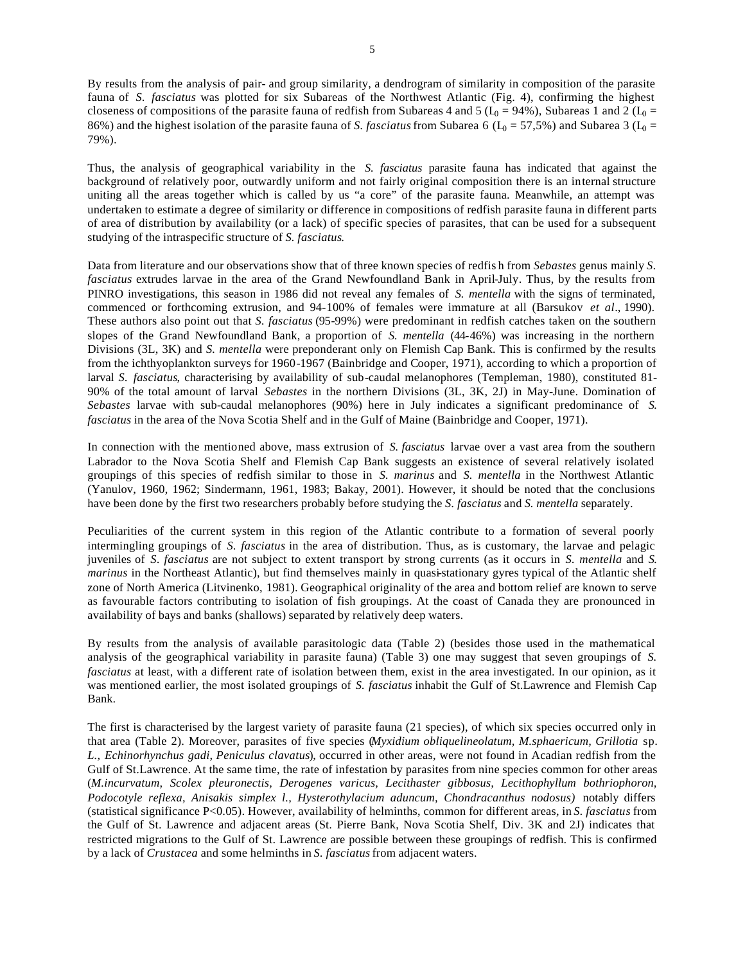By results from the analysis of pair- and group similarity, a dendrogram of similarity in composition of the parasite fauna of *S. fasciatus* was plotted for six Subareas of the Northwest Atlantic (Fig. 4), confirming the highest closeness of compositions of the parasite fauna of redfish from Subareas 4 and 5 ( $L_0$  = 94%), Subareas 1 and 2 ( $L_0$  = 86%) and the highest isolation of the parasite fauna of *S. fasciatus* from Subarea 6 ( $L_0 = 57,5\%$ ) and Subarea 3 ( $L_0 = 50$ ) 79%).

Thus, the analysis of geographical variability in the *S. fasciatus* parasite fauna has indicated that against the background of relatively poor, outwardly uniform and not fairly original composition there is an internal structure uniting all the areas together which is called by us "a core" of the parasite fauna. Meanwhile, an attempt was undertaken to estimate a degree of similarity or difference in compositions of redfish parasite fauna in different parts of area of distribution by availability (or a lack) of specific species of parasites, that can be used for a subsequent studying of the intraspecific structure of *S. fasciatus*.

Data from literature and our observations show that of three known species of redfis h from *Sebastes* genus mainly *S. fasciatus* extrudes larvae in the area of the Grand Newfoundland Bank in April-July. Thus, by the results from PINRO investigations, this season in 1986 did not reveal any females of *S. mentella* with the signs of terminated, commenced or forthcoming extrusion, and 94-100% of females were immature at all (Barsukov *et al*., 1990). These authors also point out that *S. fasciatus* (95-99%) were predominant in redfish catches taken on the southern slopes of the Grand Newfoundland Bank, a proportion of *S. mentella* (44-46%) was increasing in the northern Divisions (3L, 3K) and *S. mentella* were preponderant only on Flemish Cap Bank. This is confirmed by the results from the ichthyoplankton surveys for 1960-1967 (Bainbridge and Cooper, 1971), according to which a proportion of larval *S. fasciatus*, characterising by availability of sub-caudal melanophores (Templeman, 1980), constituted 81- 90% of the total amount of larval *Sebastes* in the northern Divisions (3L, 3K, 2J) in May-June. Domination of *Sebastes* larvae with sub-caudal melanophores (90%) here in July indicates a significant predominance of *S. fasciatus* in the area of the Nova Scotia Shelf and in the Gulf of Maine (Bainbridge and Cooper, 1971).

In connection with the mentioned above, mass extrusion of *S. fasciatus* larvae over a vast area from the southern Labrador to the Nova Scotia Shelf and Flemish Cap Bank suggests an existence of several relatively isolated groupings of this species of redfish similar to those in *S. marinus* and *S. mentella* in the Northwest Atlantic (Yanulov, 1960, 1962; Sindermann, 1961, 1983; Bakay, 2001). However, it should be noted that the conclusions have been done by the first two researchers probably before studying the *S. fasciatus* and *S. mentella* separately.

Peculiarities of the current system in this region of the Atlantic contribute to a formation of several poorly intermingling groupings of *S. fasciatus* in the area of distribution. Thus, as is customary, the larvae and pelagic juveniles of *S. fasciatus* are not subject to extent transport by strong currents (as it occurs in *S. mentella* and *S. marinus* in the Northeast Atlantic), but find themselves mainly in quasi-stationary gyres typical of the Atlantic shelf zone of North America (Litvinenko, 1981). Geographical originality of the area and bottom relief are known to serve as favourable factors contributing to isolation of fish groupings. At the coast of Canada they are pronounced in availability of bays and banks (shallows) separated by relatively deep waters.

By results from the analysis of available parasitologic data (Table 2) (besides those used in the mathematical analysis of the geographical variability in parasite fauna) (Table 3) one may suggest that seven groupings of *S. fasciatus* at least, with a different rate of isolation between them, exist in the area investigated. In our opinion, as it was mentioned earlier, the most isolated groupings of *S. fasciatus* inhabit the Gulf of St.Lawrence and Flemish Cap Bank.

The first is characterised by the largest variety of parasite fauna (21 species), of which six species occurred only in that area (Table 2). Moreover, parasites of five species (*Myxidium obliquelineolatum, M.sphaericum, Grillotia* sp*. L., Echinorhynchus gadi*, *Peniculus clavatus*), occurred in other areas, were not found in Acadian redfish from the Gulf of St.Lawrence. At the same time, the rate of infestation by parasites from nine species common for other areas (*M.incurvatum, Scolex pleuronectis, Derogenes varicus, Lecithaster gibbosus, Lecithophyllum bothriophoron, Podocotyle reflexa, Anisakis simplex l., Hysterothylacium aduncum, Chondracanthus nodosus)* notably differs (statistical significance P<0.05). However, availability of helminths, common for different areas, in *S. fasciatus* from the Gulf of St. Lawrence and adjacent areas (St. Pierre Bank, Nova Scotia Shelf, Div. 3K and 2J) indicates that restricted migrations to the Gulf of St. Lawrence are possible between these groupings of redfish. This is confirmed by a lack of *Crustacea* and some helminths in *S. fasciatus* from adjacent waters.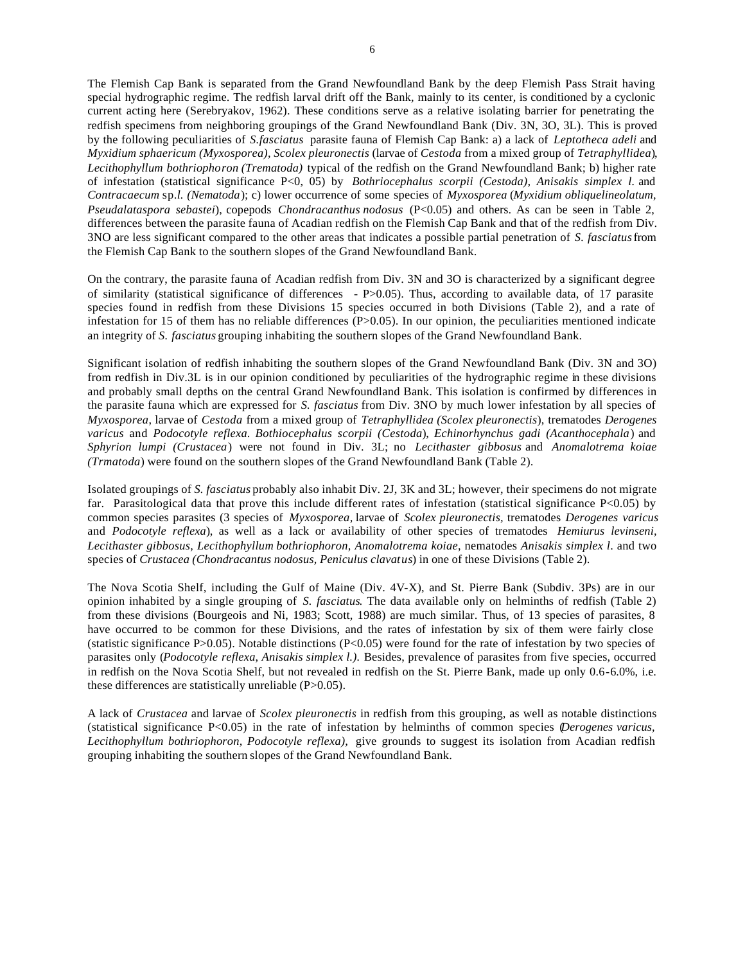The Flemish Cap Bank is separated from the Grand Newfoundland Bank by the deep Flemish Pass Strait having special hydrographic regime. The redfish larval drift off the Bank, mainly to its center, is conditioned by a cyclonic current acting here (Serebryakov, 1962). These conditions serve as a relative isolating barrier for penetrating the redfish specimens from neighboring groupings of the Grand Newfoundland Bank (Div. 3N, 3O, 3L). This is proved by the following peculiarities of *S.fasciatus* parasite fauna of Flemish Cap Bank: a) a lack of *Leptotheca adeli* and *Myxidium sphaericum (Myxosporea), Scolex pleuronectis* (larvae of *Cestoda* from a mixed group of *Tetraphyllidea*), *Lecithophyllum bothriophoron (Trematoda)* typical of the redfish on the Grand Newfoundland Bank; b) higher rate of infestation (statistical significance P<0, 05) by *Bothriocephalus scorpii (Cestoda), Anisakis simplex l.* and *Contracaecum* sp*.l. (Nematoda*); c) lower occurrence of some species of *Myxosporea* (*Myxidium obliquelineolatum, Pseudalataspora sebastei*), copepods *Chondracanthus nodosus* (P<0.05) and others. As can be seen in Table 2, differences between the parasite fauna of Acadian redfish on the Flemish Cap Bank and that of the redfish from Div. 3NO are less significant compared to the other areas that indicates a possible partial penetration of *S. fasciatus* from the Flemish Cap Bank to the southern slopes of the Grand Newfoundland Bank.

On the contrary, the parasite fauna of Acadian redfish from Div. 3N and 3O is characterized by a significant degree of similarity (statistical significance of differences -  $P > 0.05$ ). Thus, according to available data, of 17 parasite species found in redfish from these Divisions 15 species occurred in both Divisions (Table 2), and a rate of infestation for 15 of them has no reliable differences  $(P>0.05)$ . In our opinion, the peculiarities mentioned indicate an integrity of *S. fasciatus* grouping inhabiting the southern slopes of the Grand Newfoundland Bank.

Significant isolation of redfish inhabiting the southern slopes of the Grand Newfoundland Bank (Div. 3N and 3O) from redfish in Div.3L is in our opinion conditioned by peculiarities of the hydrographic regime in these divisions and probably small depths on the central Grand Newfoundland Bank. This isolation is confirmed by differences in the parasite fauna which are expressed for *S. fasciatus* from Div. 3NO by much lower infestation by all species of *Myxosporea*, larvae of *Cestoda* from a mixed group of *Tetraphyllidea (Scolex pleuronectis*), trematodes *Derogenes varicus* and *Podocotyle reflexa*. *Bothiocephalus scorpii (Cestoda*), *Echinorhynchus gadi (Acanthocephala*) and *Sphyrion lumpi (Crustacea*) were not found in Div. 3L; no *Lecithaster gibbosus* and *Anomalotrema koiae (Trmatoda*) were found on the southern slopes of the Grand Newfoundland Bank (Table 2).

Isolated groupings of *S. fasciatus* probably also inhabit Div. 2J, 3K and 3L; however, their specimens do not migrate far. Parasitological data that prove this include different rates of infestation (statistical significance P<0.05) by common species parasites (3 species of *Myxosporea,* larvae of *Scolex pleuronectis,* trematodes *Derogenes varicus* and *Podocotyle reflexa*), as well as a lack or availability of other species of trematodes *Hemiurus levinseni, Lecithaster gibbosus, Lecithophyllum bothriophoron, Anomalotrema koiae*, nematodes *Anisakis simplex l*. and two species of *Crustacea (Chondracantus nodosus, Peniculus clavatus*) in one of these Divisions (Table 2).

The Nova Scotia Shelf, including the Gulf of Maine (Div. 4V-X), and St. Pierre Bank (Subdiv. 3Ps) are in our opinion inhabited by a single grouping of *S. fasciatus*. The data available only on helminths of redfish (Table 2) from these divisions (Bourgeois and Ni, 1983; Scott, 1988) are much similar. Thus, of 13 species of parasites, 8 have occurred to be common for these Divisions, and the rates of infestation by six of them were fairly close (statistic significance P>0.05). Notable distinctions (P<0.05) were found for the rate of infestation by two species of parasites only (*Podocotyle reflexa*, *Anisakis simplex l.).* Besides, prevalence of parasites from five species, occurred in redfish on the Nova Scotia Shelf, but not revealed in redfish on the St. Pierre Bank, made up only 0.6-6.0%, i.e. these differences are statistically unreliable (P>0.05).

A lack of *Crustacea* and larvae of *Scolex pleuronectis* in redfish from this grouping, as well as notable distinctions (statistical significance P<0.05) in the rate of infestation by helminths of common species (*Derogenes varicus, Lecithophyllum bothriophoron, Podocotyle reflexa),* give grounds to suggest its isolation from Acadian redfish grouping inhabiting the southern slopes of the Grand Newfoundland Bank.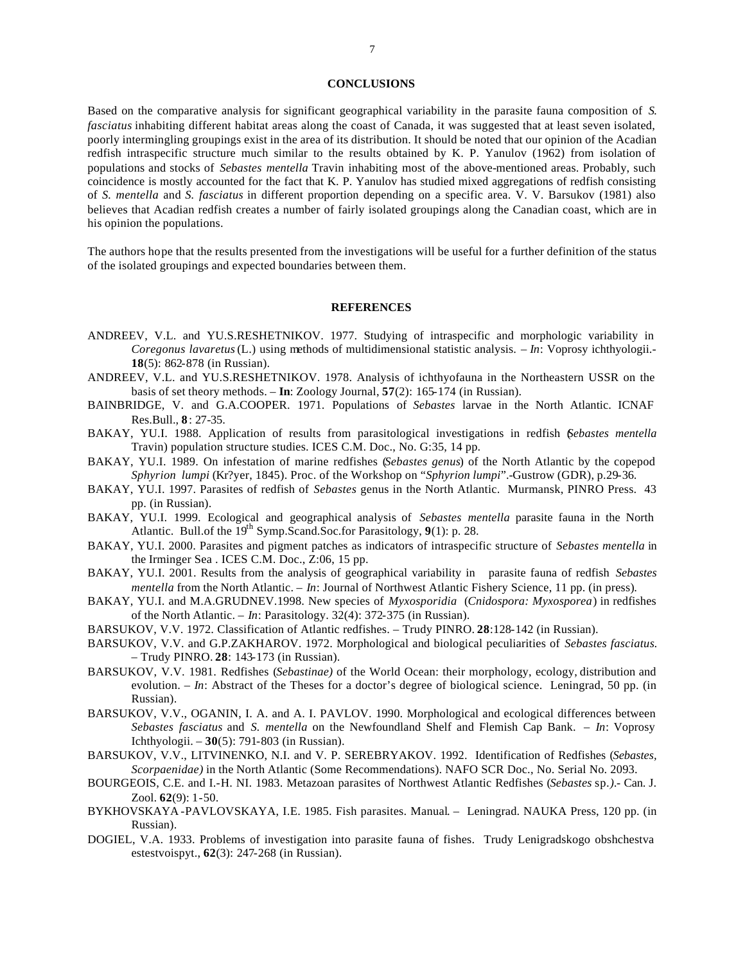#### **CONCLUSIONS**

Based on the comparative analysis for significant geographical variability in the parasite fauna composition of *S. fasciatus* inhabiting different habitat areas along the coast of Canada, it was suggested that at least seven isolated, poorly intermingling groupings exist in the area of its distribution. It should be noted that our opinion of the Acadian redfish intraspecific structure much similar to the results obtained by K. P. Yanulov (1962) from isolation of populations and stocks of *Sebastes mentella* Travin inhabiting most of the above-mentioned areas. Probably, such coincidence is mostly accounted for the fact that K. P. Yanulov has studied mixed aggregations of redfish consisting of *S. mentella* and *S. fasciatus* in different proportion depending on a specific area. V. V. Barsukov (1981) also believes that Acadian redfish creates a number of fairly isolated groupings along the Canadian coast, which are in his opinion the populations.

The authors hope that the results presented from the investigations will be useful for a further definition of the status of the isolated groupings and expected boundaries between them.

# **REFERENCES**

- ANDREEV, V.L. and YU.S.RESHETNIKOV. 1977. Studying of intraspecific and morphologic variability in *Coregonus lavaretus* (L.) using methods of multidimensional statistic analysis. – *In*: Voprosy ichthyologii.- **18**(5): 862-878 (in Russian).
- ANDREEV, V.L. and YU.S.RESHETNIKOV. 1978. Analysis of ichthyofauna in the Northeastern USSR on the basis of set theory methods. – **In**: Zoology Journal, **57**(2): 165-174 (in Russian).
- BAINBRIDGE, V. and G.A.COOPER. 1971. Populations of *Sebastes* larvae in the North Atlantic. ICNAF Res.Bull., **8**: 27-35.
- BAKAY, YU.I. 1988. Application of results from parasitological investigations in redfish (*Sebastes mentella* Travin) population structure studies. ICES C.M. Doc., No. G:35, 14 pp.
- BAKAY, YU.I. 1989. On infestation of marine redfishes (*Sebastes genus*) of the North Atlantic by the copepod *Sphyrion lumpi* (Kr?yer, 1845). Proc. of the Workshop on "*Sphyrion lumpi*".-Gustrow (GDR), p.29-36.
- BAKAY, YU.I. 1997. Parasites of redfish of *Sebastes* genus in the North Atlantic. Murmansk, PINRO Press. 43 pp. (in Russian).
- BAKAY, YU.I. 1999. Ecological and geographical analysis of *Sebastes mentella* parasite fauna in the North Atlantic. Bull.of the 19<sup>th</sup> Symp.Scand.Soc.for Parasitology, 9(1): p. 28.
- BAKAY, YU.I. 2000. Parasites and pigment patches as indicators of intraspecific structure of *Sebastes mentella* in the Irminger Sea . ICES C.M. Doc., Z:06, 15 pp.
- BAKAY, YU.I. 2001. Results from the analysis of geographical variability in parasite fauna of redfish *Sebastes mentella* from the North Atlantic. – *In*: Journal of Northwest Atlantic Fishery Science, 11 pp. (in press).
- BAKAY, YU.I. and M.A.GRUDNEV.1998. New species of *Myxosporidia* (*Cnidospora: Myxosporea*) in redfishes of the North Atlantic. – *In*: Parasitology. 32(4): 372-375 (in Russian).
- BARSUKOV, V.V. 1972. Classification of Atlantic redfishes. Trudy PINRO. **28**:128-142 (in Russian).
- BARSUKOV, V.V. and G.P.ZAKHAROV. 1972. Morphological and biological peculiarities of *Sebastes fasciatus.* – Trudy PINRO. **28**: 143-173 (in Russian).
- BARSUKOV, V.V. 1981. Redfishes (*Sebastinae)* of the World Ocean: their morphology, ecology, distribution and evolution. – *In*: Abstract of the Theses for a doctor's degree of biological science. Leningrad, 50 pp. (in Russian).
- BARSUKOV, V.V., OGANIN, I. A. and A. I. PAVLOV. 1990. Morphological and ecological differences between *Sebastes fasciatus* and *S. mentella* on the Newfoundland Shelf and Flemish Cap Bank. – *In*: Voprosy Ichthyologii. – **30**(5): 791-803 (in Russian).
- BARSUKOV, V.V., LITVINENKO, N.I. and V. P. SEREBRYAKOV. 1992. Identification of Redfishes (*Sebastes, Scorpaenidae)* in the North Atlantic (Some Recommendations). NAFO SCR Doc., No. Serial No. 2093.
- BOURGEOIS, C.E. and I.-H. NI. 1983. Metazoan parasites of Northwest Atlantic Redfishes (*Sebastes* sp*.).-* Can. J. Zool. **62**(9): 1-50.
- BYKHOVSKAYA -PAVLOVSKAYA, I.E. 1985. Fish parasites. Manual. Leningrad. NAUKA Press, 120 pp. (in Russian).
- DOGIEL, V.A. 1933. Problems of investigation into parasite fauna of fishes. Trudy Lenigradskogo obshchestva estestvoispyt., **62**(3): 247-268 (in Russian).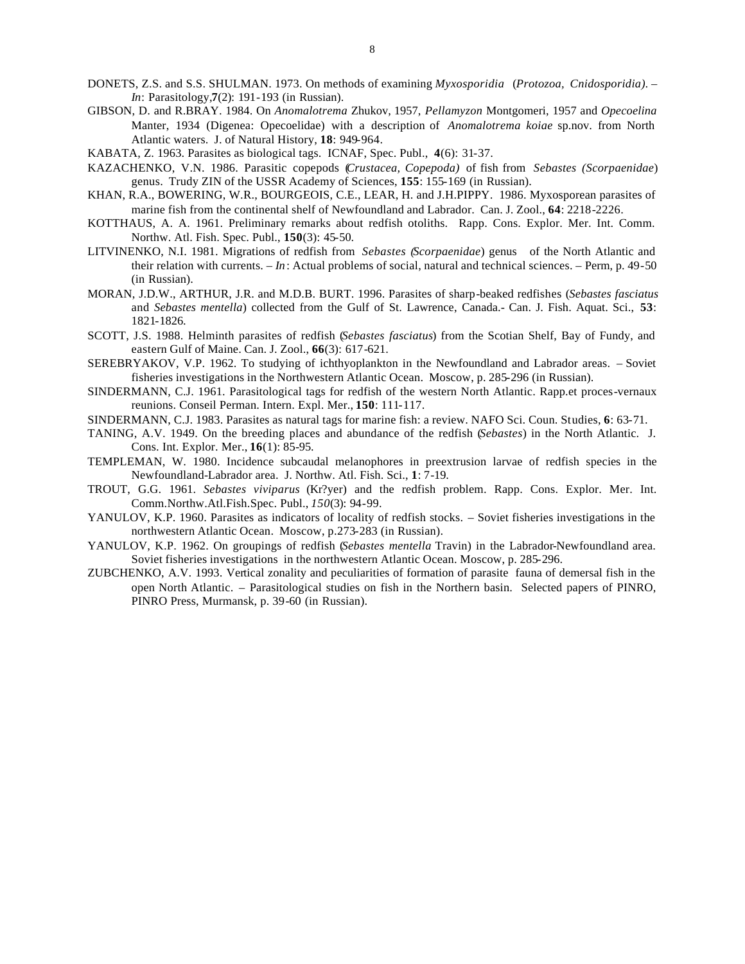- DONETS, Z.S. and S.S. SHULMAN. 1973. On methods of examining *Myxosporidia* (*Protozoa, Cnidosporidia). In*: Parasitology,**7**(2): 191-193 (in Russian).
- GIBSON, D. and R.BRAY. 1984. On *Anomalotrema* Zhukov, 1957, *Pellamyzon* Montgomeri, 1957 and *Opecoelina* Manter, 1934 (Digenea: Opecoelidae) with a description of *Anomalotrema koiae* sp.nov. from North Atlantic waters. J. of Natural History, **18**: 949-964.
- KABATA, Z. 1963. Parasites as biological tags. ICNAF, Spec. Publ., **4**(6): 31-37.
- KAZACHENKO, V.N. 1986. Parasitic copepods (*Crustacea, Copepoda)* of fish from *Sebastes (Scorpaenidae*) genus. Trudy ZIN of the USSR Academy of Sciences, **155**: 155-169 (in Russian).
- KHAN, R.A., BOWERING, W.R., BOURGEOIS, C.E., LEAR, H. and J.H.PIPPY. 1986. Myxosporean parasites of marine fish from the continental shelf of Newfoundland and Labrador. Can. J. Zool., **64**: 2218-2226.
- KOTTHAUS, A. A. 1961. Preliminary remarks about redfish otoliths. Rapp. Cons. Explor. Mer. Int. Comm. Northw. Atl. Fish. Spec. Publ., **150**(3): 45-50.
- LITVINENKO, N.I. 1981. Migrations of redfish from *Sebastes (Scorpaenidae*) genus of the North Atlantic and their relation with currents. – *In*: Actual problems of social, natural and technical sciences. – Perm, p. 49-50 (in Russian).
- MORAN, J.D.W., ARTHUR, J.R. and M.D.B. BURT. 1996. Parasites of sharp-beaked redfishes (*Sebastes fasciatus* and *Sebastes mentella*) collected from the Gulf of St. Lawrence, Canada.- Can. J. Fish. Aquat. Sci., **53**: 1821-1826.
- SCOTT, J.S. 1988. Helminth parasites of redfish (*Sebastes fasciatus*) from the Scotian Shelf, Bay of Fundy, and eastern Gulf of Maine. Can. J. Zool., **66**(3): 617-621.
- SEREBRYAKOV, V.P. 1962. To studying of ichthyoplankton in the Newfoundland and Labrador areas. Soviet fisheries investigations in the Northwestern Atlantic Ocean. Moscow, p. 285-296 (in Russian).
- SINDERMANN, C.J. 1961. Parasitological tags for redfish of the western North Atlantic. Rapp.et proces-vernaux reunions. Conseil Perman. Intern. Expl. Mer., **150**: 111-117.
- SINDERMANN, C.J. 1983. Parasites as natural tags for marine fish: a review. NAFO Sci. Coun. Studies, **6**: 63-71.
- TANING, A.V. 1949. On the breeding places and abundance of the redfish (*Sebastes*) in the North Atlantic. J. Cons. Int. Explor. Mer., **16**(1): 85-95.
- TEMPLEMAN, W. 1980. Incidence subcaudal melanophores in preextrusion larvae of redfish species in the Newfoundland-Labrador area. J. Northw. Atl. Fish. Sci., **1**: 7-19.
- TROUT, G.G. 1961. *Sebastes viviparus* (Kr?yer) and the redfish problem. Rapp. Cons. Explor. Mer. Int. Comm.Northw.Atl.Fish.Spec. Publ., *150*(3): 94-99.
- YANULOV, K.P. 1960. Parasites as indicators of locality of redfish stocks. Soviet fisheries investigations in the northwestern Atlantic Ocean. Moscow, p.273-283 (in Russian).
- YANULOV, K.P. 1962. On groupings of redfish (*Sebastes mentella* Travin) in the Labrador-Newfoundland area. Soviet fisheries investigations in the northwestern Atlantic Ocean. Moscow, p. 285-296.
- ZUBCHENKO, A.V. 1993. Vertical zonality and peculiarities of formation of parasite fauna of demersal fish in the open North Atlantic. – Parasitological studies on fish in the Northern basin. Selected papers of PINRO, PINRO Press, Murmansk, p. 39-60 (in Russian).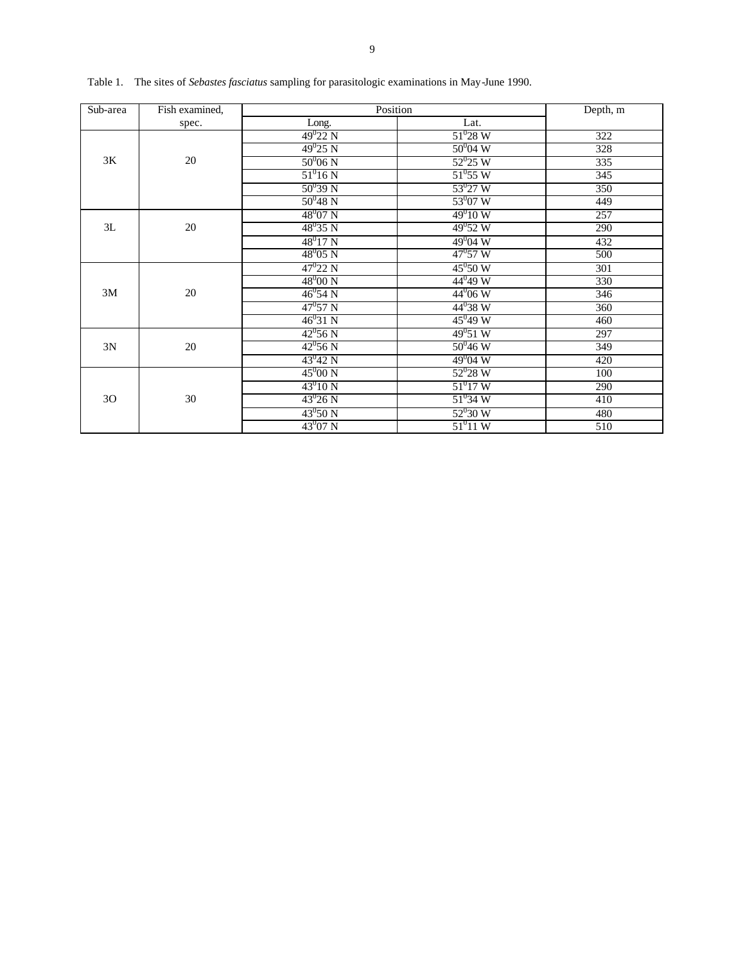| Sub-area | Fish examined. | Position         | Depth, m         |     |
|----------|----------------|------------------|------------------|-----|
|          | spec.          | Long.            | Lat.             |     |
|          |                | $49^{0}22$ N     | $51^{0}28 W$     | 322 |
|          |                | $49^{0}25$ N     | $50^{0}04 W$     | 328 |
| 3K       | 20             | $50^{0}06$ N     | $52^{0}25$ W     | 335 |
|          |                | $51^0 16 N$      | $51^0 55$ W      | 345 |
|          |                | $50^{0}39 N$     | $53^{0}27$ W     | 350 |
|          |                | $50^{0}48$ N     | $53^{0}07$ W     | 449 |
|          |                | $48^{0}07$ N     | $49^010 W$       | 257 |
| 3L       | 20             | $48^035 N$       | $49^0 52 W$      | 290 |
|          |                | $48^017$ N       | $49^{0}04$ W     | 432 |
|          |                | $48^{0}05$ N     | $47^{\circ}57$ W | 500 |
|          |                | $47^{0}22$ N     | $45^{\circ}50 W$ | 301 |
|          |                | $48^{0}00 N$     | $44^0 49 W$      | 330 |
| 3M       | 20             | $46^{0}$ 54 N    | $44^{0}06 W$     | 346 |
|          |                | $47^{\rm 0}57$ N | $44^{0}38$ W     | 360 |
|          |                | $46^{0}31$ N     | $45^0 49 W$      | 460 |
|          |                | $42^0$ 56 N      | $49^051 W$       | 297 |
| 3N       | 20             | $42^0$ 56 N      | $50^{0}46 W$     | 349 |
|          |                | $43^{0}42$ N     | $49^{0}04$ W     | 420 |
|          |                | $45^{0}00 N$     | $52^{0}28 W$     | 100 |
|          |                | $43^{0}10 N$     | $51^{0}17$ W     | 290 |
| 30       | 30             | $43^{0}26$ N     | $51^034 W$       | 410 |
|          |                | $43^0 50 N$      | $52^{0}30 W$     | 480 |
|          |                | $43^{0}07$ N     | $51^{0}$ 11 W    | 510 |

Table 1. The sites of *Sebastes fasciatus* sampling for parasitologic examinations in May-June 1990.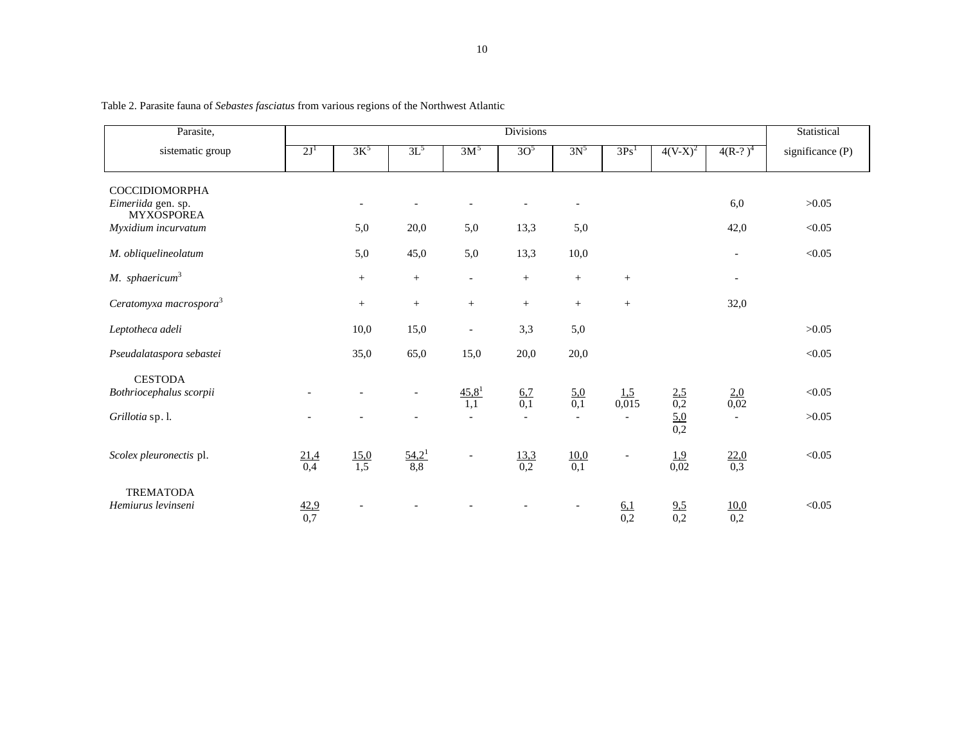| Parasite,                                                                               |                    | <b>Divisions</b>   |                                  |                          |                         |                                               |                           |                                        |                          |                  |
|-----------------------------------------------------------------------------------------|--------------------|--------------------|----------------------------------|--------------------------|-------------------------|-----------------------------------------------|---------------------------|----------------------------------------|--------------------------|------------------|
| sistematic group                                                                        | 2J <sup>1</sup>    | $3K^5$             | $3L^5$                           | 3M <sup>5</sup>          | 3O <sup>5</sup>         | $3N^5$                                        | 3Ps <sup>1</sup>          | $4(V-X)^2$                             | $4(R-?)^4$               | significance (P) |
| <b>COCCIDIOMORPHA</b><br>Eimeriida gen. sp.<br><b>MYXOSPOREA</b><br>Myxidium incurvatum |                    | 5,0                | $\overline{\phantom{a}}$<br>20,0 | 5,0                      | 13,3                    | $\overline{\phantom{a}}$<br>5,0               |                           |                                        | 6,0<br>42,0              | >0.05<br>< 0.05  |
| M. obliquelineolatum                                                                    |                    | 5,0                | 45,0                             | 5,0                      | 13,3                    | 10,0                                          |                           |                                        | $\overline{\phantom{a}}$ | < 0.05           |
| $M.$ sphaericum <sup>3</sup>                                                            |                    | $\qquad \qquad +$  | $\qquad \qquad +$                | $-$                      | $\qquad \qquad +$       | $\qquad \qquad +$                             | $\qquad \qquad +$         |                                        | $\overline{\phantom{a}}$ |                  |
| Ceratomyxa macrospora <sup>3</sup>                                                      |                    | $\! + \!\!\!\!$    | $\! + \!\!\!\!$                  | $^{+}$                   | $+$                     | $\qquad \qquad +$                             | $\qquad \qquad +$         |                                        | 32,0                     |                  |
| Leptotheca adeli                                                                        |                    | 10,0               | 15,0                             |                          | 3,3                     | 5,0                                           |                           |                                        |                          | >0.05            |
| Pseudalataspora sebastei                                                                |                    | 35,0               | 65,0                             | 15,0                     | 20,0                    | 20,0                                          |                           |                                        |                          | < 0.05           |
| <b>CESTODA</b><br>Bothriocephalus scorpii<br>Grillotia sp. l.                           |                    |                    | $\qquad \qquad -$                | 45,8 <sup>1</sup><br>1,1 | 6,7<br>$\overline{0,1}$ | $\frac{5,0}{0,1}$<br>$\overline{\phantom{a}}$ | 1.5<br>$0,\overline{015}$ | $\frac{2,5}{0,2}$<br>$\frac{5,0}{0,2}$ | $\frac{2,0}{0,02}$       | < 0.05<br>>0.05  |
| Scolex pleuronectis pl.                                                                 | $\frac{21,4}{0,4}$ | $\frac{15,0}{1,5}$ | $\frac{54,2^1}{8,8}$             |                          | $\frac{13,3}{0,2}$      | $\frac{10,0}{0,1}$                            | $\overline{\phantom{a}}$  | $\frac{1.9}{0.02}$                     | $\frac{22,0}{0,3}$       | < 0.05           |
| <b>TREMATODA</b><br>Hemiurus levinseni                                                  | $\frac{42,9}{0,7}$ |                    |                                  |                          |                         |                                               | 6,1<br>0,2                | $\frac{9,5}{0,2}$                      | 10,0<br>0,2              | < 0.05           |

Table 2. Parasite fauna of *Sebastes fasciatus* from various regions of the Northwest Atlantic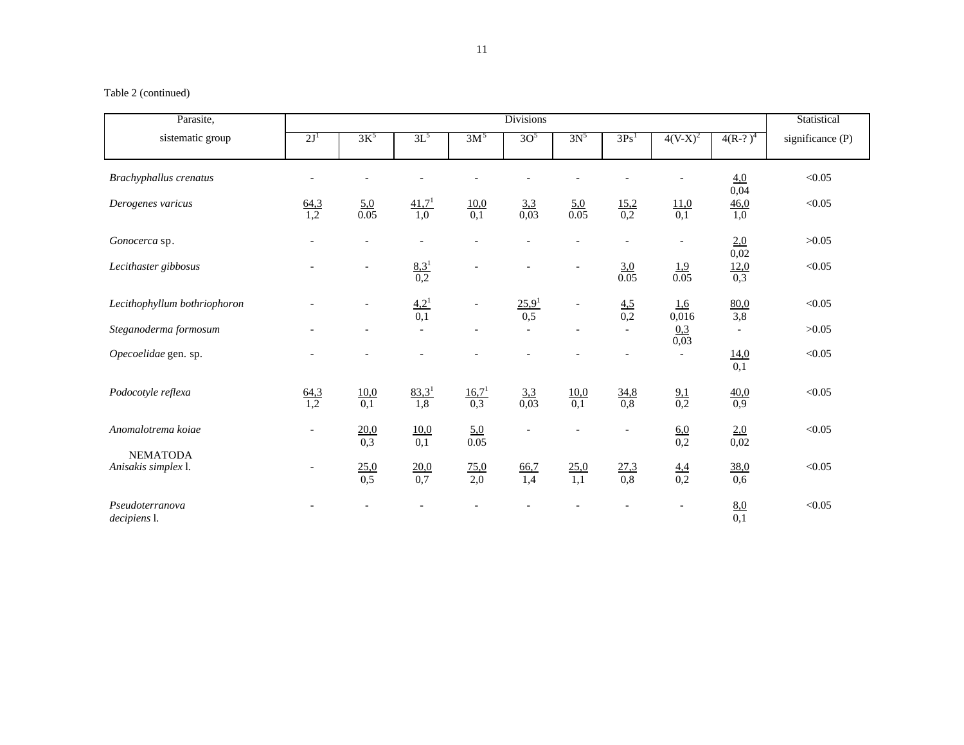# Table 2 (continued)

| Parasite,                              | <b>Divisions</b>         |                          |                          |                          |                          |                          |                          |                          | Statistical        |                    |
|----------------------------------------|--------------------------|--------------------------|--------------------------|--------------------------|--------------------------|--------------------------|--------------------------|--------------------------|--------------------|--------------------|
| sistematic group                       | 2J <sup>1</sup>          | $3K^5$                   | $3L^5$                   | 3M <sup>5</sup>          | 3O <sup>5</sup>          | $3N^5$                   | 3Ps <sup>1</sup>         | $4(V-X)^2$               | $4(R-?)^4$         | significance $(P)$ |
| Brachyphallus crenatus                 |                          |                          |                          |                          |                          |                          |                          |                          | 4.0<br>0,04        | < 0.05             |
| Derogenes varicus                      | $\frac{64,3}{1,2}$       | $\frac{5,0}{0.05}$       | 41,7 <sup>1</sup><br>1,0 | 10,0<br>0,1              | $\frac{3,3}{0,03}$       | 5,0<br>0.05              | $\frac{15,2}{0,2}$       | $\frac{11,0}{0,1}$       | $\frac{46,0}{1,0}$ | < 0.05             |
| Gonocerca sp.                          | $\overline{\phantom{a}}$ | $\overline{\phantom{a}}$ |                          | $\overline{\phantom{a}}$ | $\overline{a}$           | $\overline{a}$           | $\overline{\phantom{a}}$ | $\qquad \qquad -$        | 2,0<br>0,02        | >0.05              |
| Lecithaster gibbosus                   |                          |                          | $\frac{8,3^1}{0,2}$      |                          |                          | $\overline{\phantom{a}}$ | 3,0<br>0.05              | 1,9<br>0.05              | $\frac{12,0}{0,3}$ | < 0.05             |
| Lecithophyllum bothriophoron           |                          |                          | 4,2 <sup>1</sup><br>0,1  | $\overline{\phantom{a}}$ | 25.9 <sup>1</sup><br>0,5 | $\overline{\phantom{a}}$ | 4,5<br>0,2               | 1,6<br>0,016             | 80,0<br>3,8        | < 0.05             |
| Steganoderma formosum                  |                          |                          | $\sim$                   | $\overline{\phantom{a}}$ |                          | $\overline{a}$           |                          | 0.3<br>0,03              | $\sim$             | >0.05              |
| Opecoelidae gen. sp.                   |                          |                          |                          |                          |                          |                          |                          | $\overline{\phantom{a}}$ | 14,0<br>0,1        | < 0.05             |
| Podocotyle reflexa                     | $\frac{64,3}{1,2}$       | 10,0<br>$\overline{0,1}$ | $83,3^1$<br>1,8          | 16.7 <sup>1</sup><br>0,3 | 3,3<br>$\overline{0,03}$ | 10,0<br>$\overline{0,1}$ | 34,8<br>0,8              | $\frac{9,1}{0,2}$        | $\frac{40,0}{0,9}$ | < 0.05             |
| Anomalotrema kojae                     | $\overline{\phantom{a}}$ | 20,0<br>0,3              | 10,0<br>0,1              | 5.0<br>0.05              | $\overline{a}$           | $\overline{a}$           | $\overline{a}$           | 6,0<br>0,2               | 2,0<br>0,02        | < 0.05             |
| <b>NEMATODA</b><br>Anisakis simplex l. |                          | $\frac{25,0}{0,5}$       | $\frac{20,0}{0,7}$       | $\frac{75,0}{2,0}$       | $\frac{66,7}{1,4}$       | $\frac{25,0}{1,1}$       | $\frac{27,3}{0,8}$       | $\frac{4.4}{0.2}$        | 38,0<br>0,6        | < 0.05             |
| Pseudoterranova<br>decipiens l.        |                          |                          |                          |                          |                          |                          |                          |                          | $\frac{8,0}{0,1}$  | < 0.05             |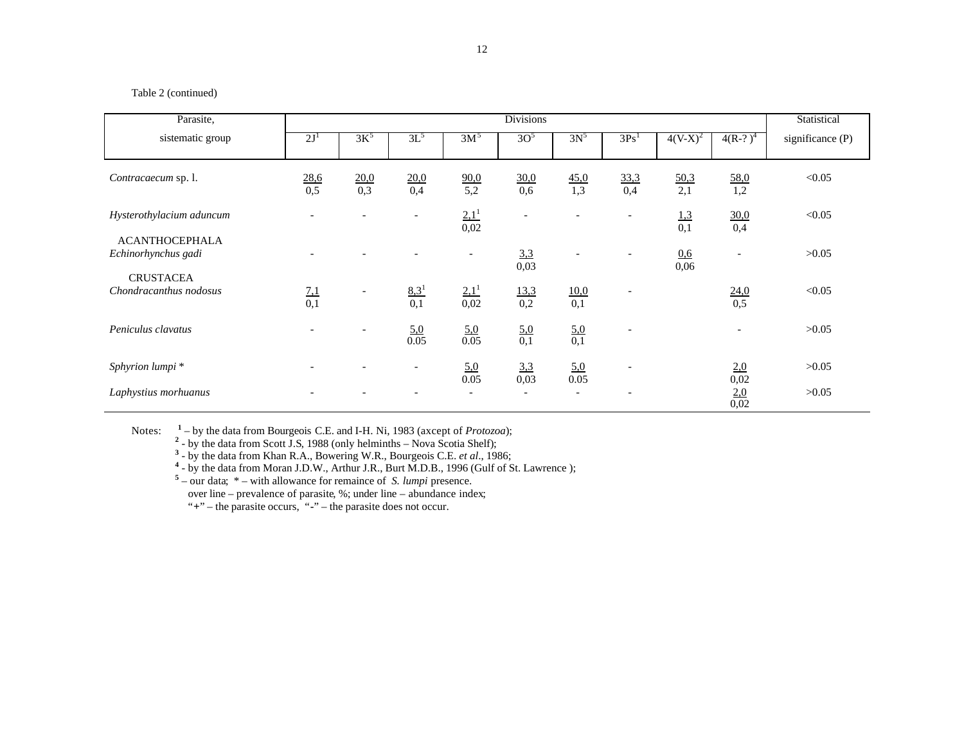# Table 2 (continued)

| Parasite,                                    | <b>Divisions</b>  |                          |                          |                          |                          |                          | Statistical              |             |                          |                    |
|----------------------------------------------|-------------------|--------------------------|--------------------------|--------------------------|--------------------------|--------------------------|--------------------------|-------------|--------------------------|--------------------|
| sistematic group                             | 2J <sup>1</sup>   | $3K^5$                   | $3L^5$                   | 3M <sup>5</sup>          | 3O <sup>5</sup>          | $3N^5$                   | 3Ps <sup>1</sup>         | $4(V-X)^2$  | $4(R-?)^4$               | significance $(P)$ |
| Contracaecum sp. l.                          | 28,6<br>0,5       | 20,0<br>0,3              | 20,0<br>0,4              | 90,0<br>5,2              | 30,0<br>0,6              | 45,0<br>1,3              | 33,3<br>0,4              | 50,3<br>2,1 | 58,0<br>1,2              | < 0.05             |
| Hysterothylacium aduncum                     |                   |                          |                          | $2.1^{1}$<br>0,02        | $\overline{\phantom{a}}$ |                          | $\overline{\phantom{a}}$ | 1,3<br>0,1  | 30,0<br>0,4              | < 0.05             |
| <b>ACANTHOCEPHALA</b><br>Echinorhynchus gadi |                   |                          |                          | $\overline{\phantom{a}}$ | 3,3<br>0,03              |                          |                          | 0.6<br>0,06 |                          | >0.05              |
| <b>CRUSTACEA</b><br>Chondracanthus nodosus   | $\frac{7,1}{0,1}$ | $\overline{\phantom{a}}$ | $\frac{8,3^1}{0,1}$      | $2.1^{1}$<br>0,02        | 13.3<br>0,2              | $\frac{10,0}{0,1}$       | $\overline{\phantom{a}}$ |             | 24,0<br>0,5              | < 0.05             |
| Peniculus clavatus                           |                   | $\overline{\phantom{0}}$ | $\frac{5,0}{0.05}$       | $\frac{5,0}{0.05}$       | 5,0<br>0,1               | $\frac{5,0}{0,1}$        | $\overline{\phantom{0}}$ |             | $\overline{\phantom{0}}$ | >0.05              |
| Sphyrion lumpi *                             |                   |                          | $\overline{\phantom{a}}$ | 5,0<br>0.05              | 3,3<br>0,03              | 5,0<br>0.05              |                          |             | 2,0<br>0,02              | >0.05              |
| Laphystius morhuanus                         |                   |                          |                          | $\overline{\phantom{a}}$ | $\overline{\phantom{0}}$ | $\overline{\phantom{a}}$ |                          |             | $\frac{2,0}{0,02}$       | >0.05              |

Notes:

<sup>1</sup> – by the data from Bourgeois C.E. and I-H. Ni, 1983 (axcept of *Protozoa*);<br><sup>2</sup> - by the data from Scott J.S, 1988 (only helminths – Nova Scotia Shelf);<br><sup>3</sup> - by the data from Khan R.A., Bowering W.R., Bourgeois C.E.

over line – prevalence of parasite,  $\%$ ; under line – abundance index;

"**+**" – the parasite occurs, "**-**" – the parasite does not occur.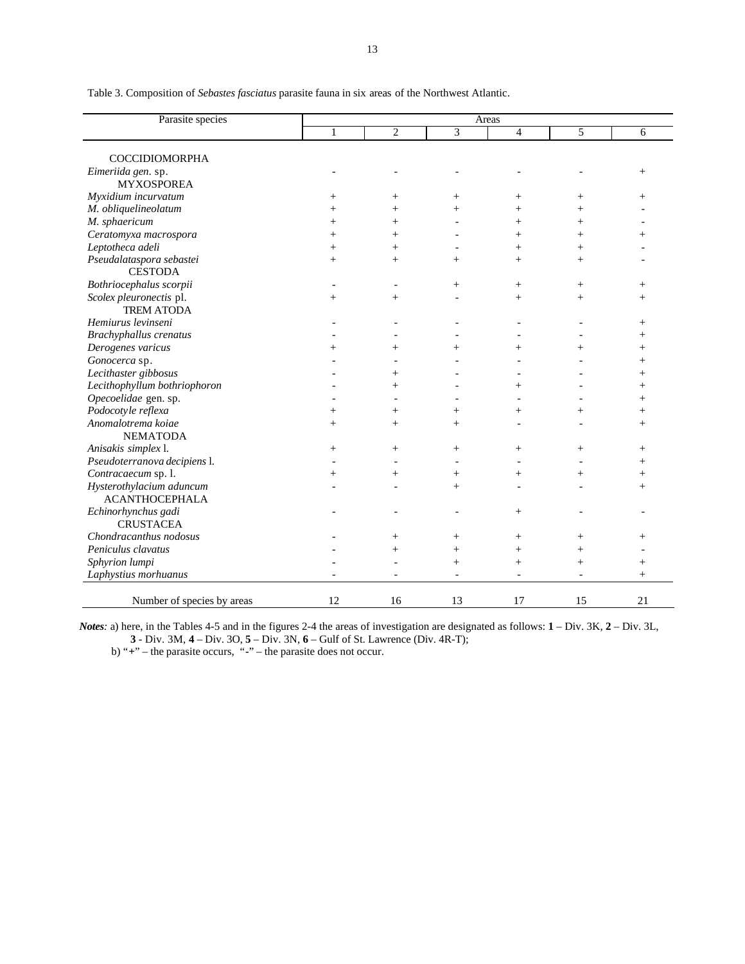| Parasite species             | Areas  |                |                          |                |        |        |  |  |
|------------------------------|--------|----------------|--------------------------|----------------|--------|--------|--|--|
|                              | 1      | $\overline{2}$ | 3                        | $\overline{4}$ | 5      | 6      |  |  |
|                              |        |                |                          |                |        |        |  |  |
| <b>COCCIDIOMORPHA</b>        |        |                |                          |                |        |        |  |  |
| Eimeriida gen. sp.           |        |                |                          |                |        | $^{+}$ |  |  |
| <b>MYXOSPOREA</b>            |        |                |                          |                |        |        |  |  |
| Myxidium incurvatum          | $+$    | $^{+}$         | $^{+}$                   | $^{+}$         | $^{+}$ | $^{+}$ |  |  |
| M. obliquelineolatum         | $^{+}$ | $^{+}$         | $^{+}$                   | $^{+}$         | $^{+}$ |        |  |  |
| M. sphaericum                | $^{+}$ | $\overline{+}$ |                          | $^{+}$         | $^{+}$ |        |  |  |
| Ceratomyxa macrospora        | $^{+}$ | $^{+}$         |                          | $^{+}$         | $^{+}$ | $^+$   |  |  |
| Leptotheca adeli             | $^{+}$ | $^{+}$         | $\overline{\phantom{a}}$ | $^{+}$         | $^{+}$ |        |  |  |
| Pseudalataspora sebastei     | $^{+}$ | $^{+}$         | $^{+}$                   | $^{+}$         | $^{+}$ |        |  |  |
| <b>CESTODA</b>               |        |                |                          |                |        |        |  |  |
| Bothriocephalus scorpii      |        |                | $^{+}$                   | $^{+}$         | $^{+}$ | $^{+}$ |  |  |
| Scolex pleuronectis pl.      | $^{+}$ | $^{+}$         |                          | $^{+}$         | $^{+}$ | $^{+}$ |  |  |
| <b>TREM ATODA</b>            |        |                |                          |                |        |        |  |  |
| Hemiurus levinseni           |        |                |                          |                |        | $^{+}$ |  |  |
| Brachyphallus crenatus       |        |                |                          |                |        | $^{+}$ |  |  |
| Derogenes varicus            | $^{+}$ | $^{+}$         | $^{+}$                   | $^{+}$         | $^{+}$ | $^{+}$ |  |  |
| Gonocerca sp.                |        |                |                          |                |        | $^{+}$ |  |  |
| Lecithaster gibbosus         |        | $^{+}$         |                          |                |        | $^{+}$ |  |  |
| Lecithophyllum bothriophoron |        | $^{+}$         |                          | $^{+}$         |        | $^{+}$ |  |  |
| Opecoelidae gen. sp.         |        |                |                          |                |        | $^{+}$ |  |  |
| Podocotyle reflexa           | $^{+}$ | $^{+}$         | $^{+}$                   | $^{+}$         | $^{+}$ | $^{+}$ |  |  |
| Anomalotrema koiae           | $^{+}$ | $^{+}$         | $^{+}$                   |                |        | $^{+}$ |  |  |
| <b>NEMATODA</b>              |        |                |                          |                |        |        |  |  |
| Anisakis simplex l.          | $^{+}$ | $^{+}$         | $^{+}$                   | $^{+}$         | $^{+}$ | $^{+}$ |  |  |
| Pseudoterranova decipiens l. |        |                |                          |                |        | $^{+}$ |  |  |
| Contracaecum sp. l.          | $^{+}$ | $^{+}$         | $^{+}$                   | $^{+}$         | $^{+}$ | $^{+}$ |  |  |
| Hysterothylacium aduncum     |        |                | $^{+}$                   |                |        | $^{+}$ |  |  |
| <b>ACANTHOCEPHALA</b>        |        |                |                          |                |        |        |  |  |
| Echinorhynchus gadi          |        |                |                          | $^{+}$         |        |        |  |  |
| <b>CRUSTACEA</b>             |        |                |                          |                |        |        |  |  |
| Chondracanthus nodosus       |        | $^{+}$         | $^{+}$                   | $^{+}$         | $+$    | $^{+}$ |  |  |
| Peniculus clavatus           |        | $^{+}$         | $^{+}$                   | $^{+}$         | $^{+}$ |        |  |  |
| Sphyrion lumpi               |        |                | $^{+}$                   | $^{+}$         | $^{+}$ | $+$    |  |  |
| Laphystius morhuanus         |        |                | $\overline{\phantom{a}}$ |                |        | $^{+}$ |  |  |
|                              |        |                |                          |                |        |        |  |  |
| Number of species by areas   | 12     | 16             | 13                       | 17             | 15     | 21     |  |  |

Table 3. Composition of *Sebastes fasciatus* parasite fauna in six areas of the Northwest Atlantic.

*Notes:* a) here, in the Tables 4-5 and in the figures 2-4 the areas of investigation are designated as follows: **1** – Div. 3K, **2** – Div. 3L, **3** - Div. 3M, **4** – Div. 3O, **5** – Div. 3N, **6** – Gulf of St. Lawrence (Div. 4R-T);

b) "**+**" – the parasite occurs, "**-**" – the parasite does not occur.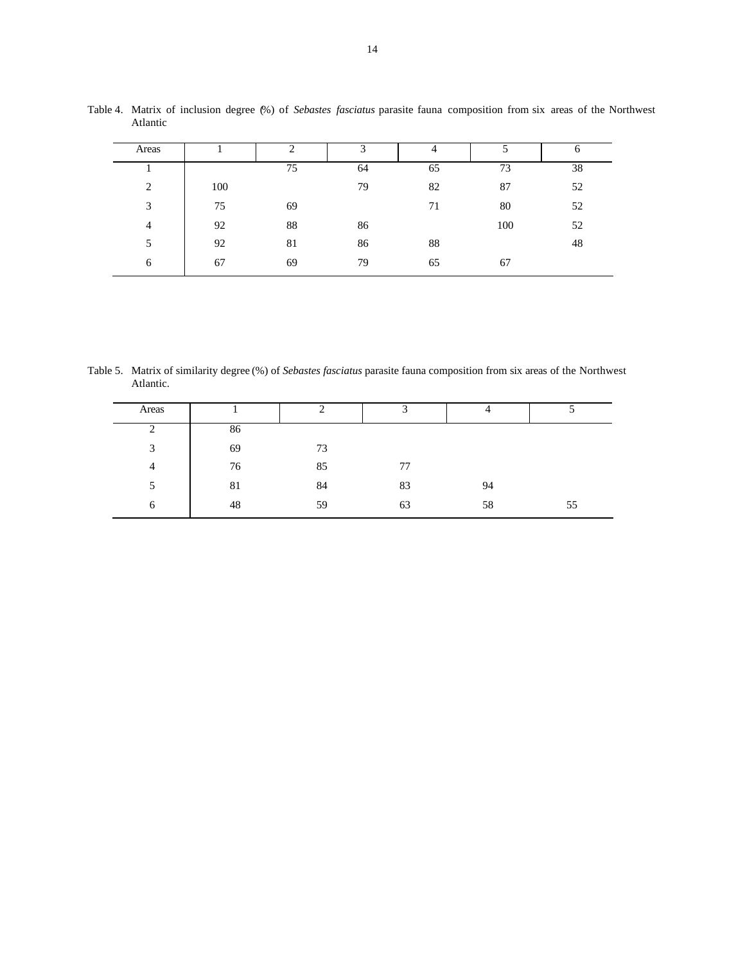| Areas |     |    |    | ᠇  |     | O  |
|-------|-----|----|----|----|-----|----|
|       |     | 75 | 64 | 65 | 73  | 38 |
| 2     | 100 |    | 79 | 82 | 87  | 52 |
| 3     | 75  | 69 |    | 71 | 80  | 52 |
| 4     | 92  | 88 | 86 |    | 100 | 52 |
| 5     | 92  | 81 | 86 | 88 |     | 48 |
| 6     | 67  | 69 | 79 | 65 | 67  |    |

Table 4. Matrix of inclusion degree (%) of *Sebastes fasciatus* parasite fauna composition from six areas of the Northwest Atlantic

Table 5. Matrix of similarity degree (%) of *Sebastes fasciatus* parasite fauna composition from six areas of the Northwest Atlantic.

| Areas      |    | ി  | $\mathbf{\Omega}$ | 4  |    |
|------------|----|----|-------------------|----|----|
| ∍<br>∠     | 86 |    |                   |    |    |
| 3          | 69 | 73 |                   |    |    |
| 4          | 76 | 85 | 77                |    |    |
| 5          | 81 | 84 | 83                | 94 |    |
| $\epsilon$ | 48 | 59 | 63                | 58 | 55 |
|            |    |    |                   |    |    |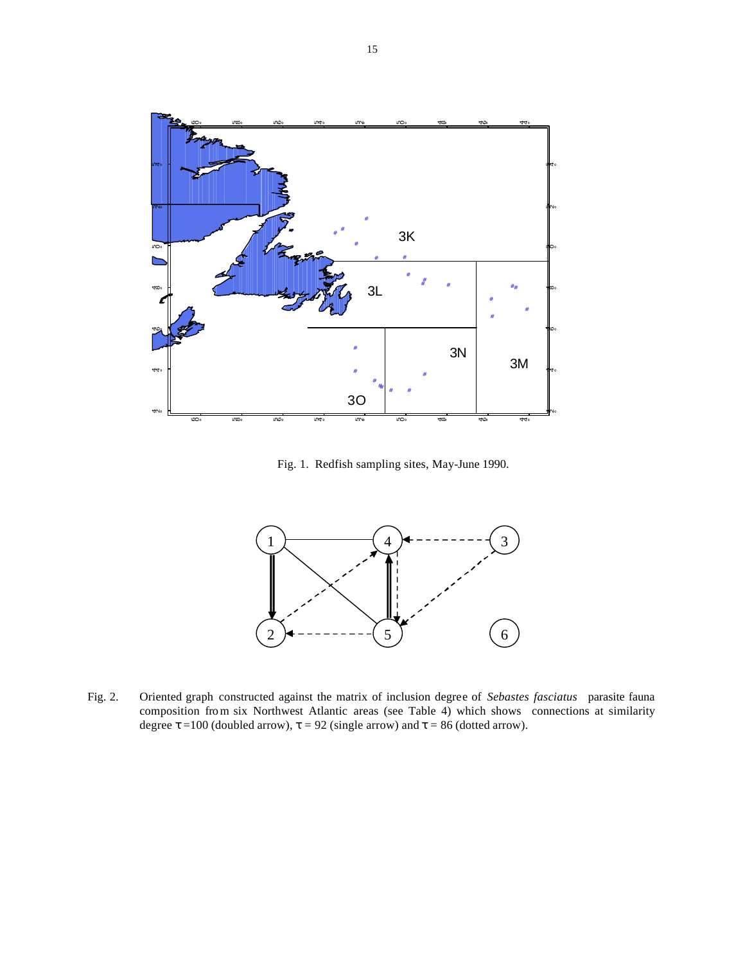

Fig. 1. Redfish sampling sites, May-June 1990.



Fig. 2. Oriented graph constructed against the matrix of inclusion degree of *Sebastes fasciatus* parasite fauna composition from six Northwest Atlantic areas (see Table 4) which shows connections at similarity degree **t** =100 (doubled arrow), **t** = 92 (single arrow) and **t** = 86 (dotted arrow).